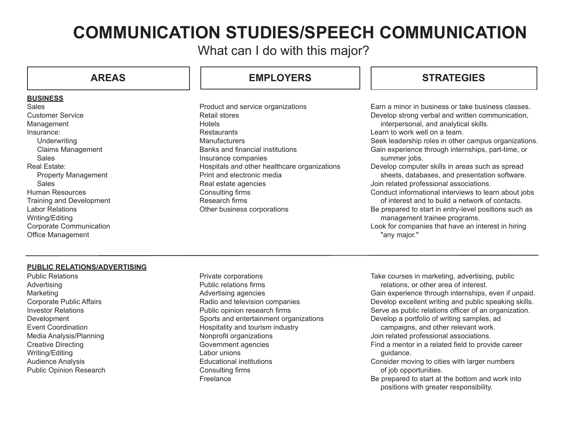# **COMMUNICATION STUDIES/SPEECH COMMUNICATION**

What can I do with this major?

### **BUSINESS**

**Sales** Customer Service Management Insurance: **Underwriting** Claims Management Sales Real Estate: Property Management Sales Human Resources Training and Development Labor Relations Writing/Editing Corporate Communication Office Management

# **AREAS EMPLOYERS STRATEGIES**

Product and service organizations Retail stores Hotels **Restaurants Manufacturers** Banks and financial institutions Insurance companies Hospitals and other healthcare organizations Print and electronic media Real estate agencies Consulting firms Research firms Other business corporations

Earn a minor in business or take business classes. Develop strong verbal and written communication, interpersonal, and analytical skills. Learn to work well on a team. Seek leadership roles in other campus organizations. Gain experience through internships, part-time, or summer jobs. Develop computer skills in areas such as spread sheets, databases, and presentation software. Join related professional associations. Conduct informational interviews to learn about jobs of interest and to build a network of contacts. Be prepared to start in entry-level positions such as management trainee programs. Look for companies that have an interest in hiring "any major."

### **PUBLIC RELATIONS/ADVERTISING**

Public Relations Advertising Marketing Corporate Public Affairs Investor Relations Development Event Coordination Media Analysis/Planning Creative Directing Writing/Editing Audience Analysis Public Opinion Research Private corporations Public relations firms Advertising agencies Radio and television companies Public opinion research firms Sports and entertainment organizations Hospitality and tourism industry Nonprofit organizations Government agencies Labor unions Educational institutions Consulting firms **Freelance** 

Take courses in marketing, advertising, public relations, or other area of interest.

Gain experience through internships, even if unpaid. Develop excellent writing and public speaking skills. Serve as public relations officer of an organization. Develop a portfolio of writing samples, ad

campaigns, and other relevant work. Join related professional associations.

Find a mentor in a related field to provide career guidance.

- Consider moving to cities with larger numbers of job opportunities.
- Be prepared to start at the bottom and work into positions with greater responsibility.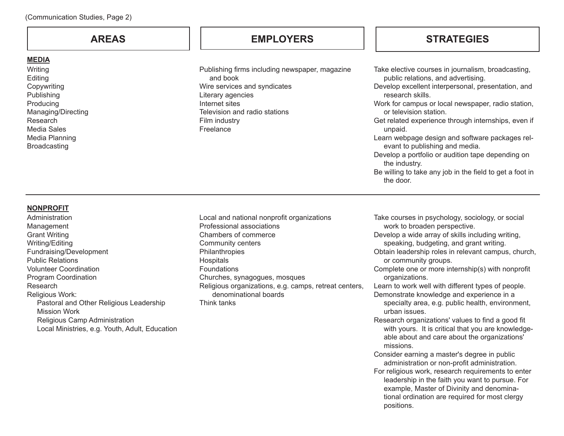### **MEDIA**

Writing Editing Copywriting Publishing Producing Managing/Directing Research Media Sales Media Planning Broadcasting

Publishing firms including newspaper, magazine and book Wire services and syndicates Literary agencies Internet sites Television and radio stations Film industry Freelance

# **AREAS EMPLOYERS STRATEGIES**

Take elective courses in journalism, broadcasting, public relations, and advertising. Develop excellent interpersonal, presentation, and research skills. Work for campus or local newspaper, radio station, or television station. Get related experience through internships, even if unpaid. Learn webpage design and software packages relevant to publishing and media. Develop a portfolio or audition tape depending on the industry. Be willing to take any job in the field to get a foot in the door.

### **NONPROFIT**

**Administration** Management Grant Writing Writing/Editing Fundraising/Development Public Relations Volunteer Coordination Program Coordination Research Religious Work: Pastoral and Other Religious Leadership Mission Work Religious Camp Administration Local Ministries, e.g. Youth, Adult, Education Local and national nonprofit organizations Professional associations Chambers of commerce Community centers **Philanthropies Hospitals** Foundations Churches, synagogues, mosques Religious organizations, e.g. camps, retreat centers, denominational boards Think tanks

Take courses in psychology, sociology, or social work to broaden perspective.

Develop a wide array of skills including writing, speaking, budgeting, and grant writing.

Obtain leadership roles in relevant campus, church, or community groups.

Complete one or more internship(s) with nonprofit organizations.

Learn to work well with different types of people.

- Demonstrate knowledge and experience in a specialty area, e.g. public health, environment, urban issues.
- Research organizations' values to find a good fit with yours. It is critical that you are knowledgeable about and care about the organizations' missions.
- Consider earning a master's degree in public administration or non-profit administration.
- For religious work, research requirements to enter leadership in the faith you want to pursue. For example, Master of Divinity and denominational ordination are required for most clergy positions.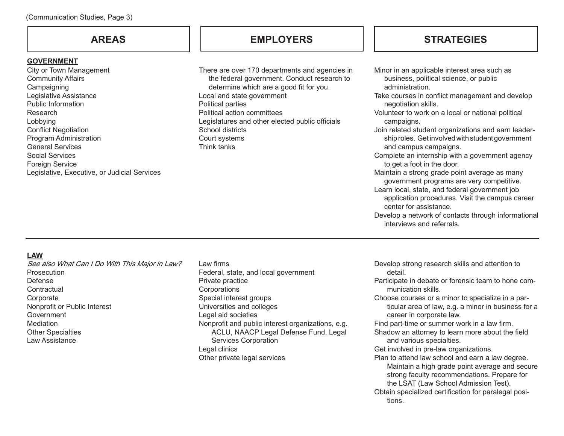### **GOVERNMENT**

City or Town Management Community Affairs **Campaigning** Legislative Assistance Public Information Research Lobbying Conflict Negotiation Program Administration General Services Social Services Foreign Service Legislative, Executive, or Judicial Services

# **AREAS EMPLOYERS STRATEGIES**

There are over 170 departments and agencies in the federal government. Conduct research to determine which are a good fit for you. Local and state government Political parties Political action committees Legislatures and other elected public officials School districts Court systems Think tanks

Minor in an applicable interest area such as business, political science, or public administration. Take courses in conflict management and develop negotiation skills. Volunteer to work on a local or national political campaigns. Join related student organizations and earn leadership roles. Get involved with student government and campus campaigns. Complete an internship with a government agency to get a foot in the door. Maintain a strong grade point average as many government programs are very competitive. Learn local, state, and federal government job application procedures. Visit the campus career center for assistance. Develop a network of contacts through informational interviews and referrals.

### **LAW**

See also What Can I Do With This Major in Law? Prosecution Defense **Contractual Corporate** Nonprofit or Public Interest Government Mediation Other Specialties Law Assistance

### Law firms

Federal, state, and local government Private practice **Corporations** Special interest groups Universities and colleges Legal aid societies Nonprofit and public interest organizations, e.g. ACLU, NAACP Legal Defense Fund, Legal Services Corporation Legal clinics Other private legal services

- Develop strong research skills and attention to detail.
- Participate in debate or forensic team to hone communication skills.
- Choose courses or a minor to specialize in a particular area of law, e.g. a minor in business for a career in corporate law.
- Find part-time or summer work in a law firm.
- Shadow an attorney to learn more about the field and various specialties.
- Get involved in pre-law organizations.
- Plan to attend law school and earn a law degree. Maintain a high grade point average and secure strong faculty recommendations. Prepare for the LSAT (Law School Admission Test).
- Obtain specialized certification for paralegal positions.